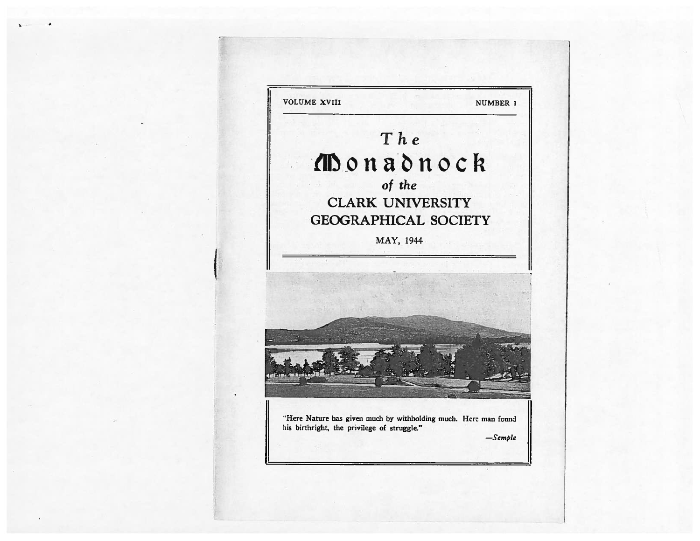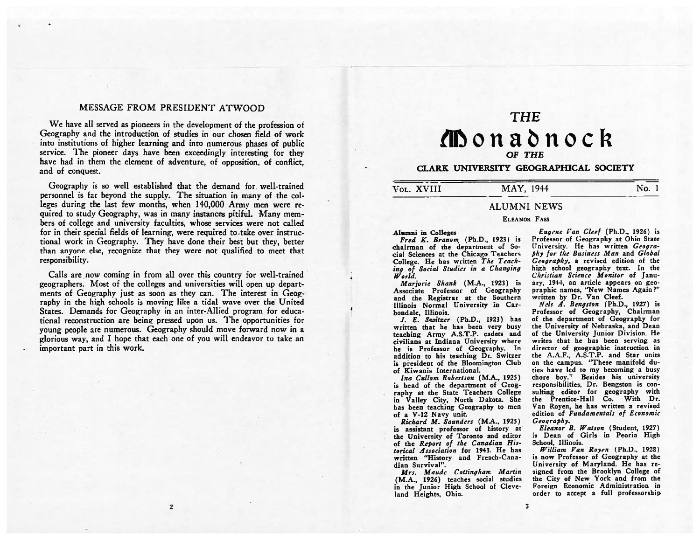### MESSAGE FROM PRESIDENT ATWOOD

We have all served as <sup>p</sup>ioneers in the development of the profession of Geography and the introduction of studies in our chosen field of work into institutions of higher learning and into numerous <sup>p</sup>hases of public service. The pioneer days have been exceedingly interesting for they have had in them the element of adventure, of opposition, of conflict, and of conquest.

Geography is so well established that the demand for, well-trained personnel is far beyond the supply. The situation in many of the col leges during the last few months, when 140,000 Army men were re quired to study Geography, was in many instances pitiful. Many members of college and university faculties, whose services were not called for in their special fields of learning, were required to-take over instruc tional work in Geography. They have done their best but they, better than anyone else, recognize that they were not qualified to meet that responsibility.

Calls are now coming in from all over this country for well-trained geographers. Most of the colleges and universities will open up depart ments of Geography just as soon as they can. The interest in Geography in the high schools is moving like <sup>a</sup> tidal wave over the United States. Demands for Geography in an inter-Allied program for educa ticnal reconstruction are being pressed upon us. The opportunities for young people are numerous. Geography should move forward now in <sup>a</sup> <sup>g</sup>lorious way, and <sup>I</sup> hope that each one of you will endeavor to take an important par<sup>t</sup> in this work.

# THE **Donadnock**

### OF THE

### CLARK UNIVERSITY GEOGRAPHICAL SOCIETY

### VOL. XVIII MAY, 1944 NO. 1

#### ALUMNI NEWS

#### ELEANOR FAss

Alumni in Colleges

Fred K. Branom (Ph.D., 1923) is chairman of the department of So cial Sciences at the Chicago Teachers College. He has written The Teach ing of Social Studies in <sup>a</sup> Changing World.

Marjorie Shank (M.A., 1923) is Associate Professor of Geography and the Registrar at the Southern 'Illinois Normal University in Car bondale, Illinois.

J. E. Savitzer (Ph.D., 1923) has written that he has been very busy teaching Army A.S.T.P. cadets and civilians at Indiana University where he is Professor of Geography. In addition to his teaching Dr. Switzer is president of the Bloomington Club of Kiwanis International.

ma Cullom Robertson (M.A., 1925) is head of the department of Geog raphy at the State Teachers College in Valley City, North Dakota. She has been teaching Geography to men of <sup>a</sup> V-12 Navy unit.

Richard M. Saunders (M.A., 1925) is assistant professor of history at the University of Toronto and editor of the Report of the Canadian His torical Association for 1943. He has written "History and French-Cana dian Survival".

Mrs. Maude Cottingham Martin (M.A., 1926) teaches social studies in the Junior High School of Cleveland Heights, Ohio.

Eugene Fan Cicef (Ph.D., 1926) is Professor of Geography at Ohio State University. He has written Geogra phy for the Business Man and Global Geography, <sup>a</sup> revised edition of the high school geography text. In the Christian Science Monitor of January, 1944, an article appears on geo praphic names, "New Names Again?" written by Dr. Van Cleef.

Nels A. Bengston (Ph.D., 1927) is Professor of Geography, Chairman of the department of Geography for the University of Nebraska, and Dean of the University Junior Division. He writes that he has been serving as director of geographic instruction in the A.A.F., A.S.T.P. and Star units on the campus. "These manifold du ties have led to my becoming <sup>a</sup> busy chore boy." Besides his university responsibilities, Dr. Bengston is con sulting editor for geography with the Prentice-Hall Co. With Dr. Van Royen, he has written <sup>a</sup> revised edition of Fundamentals of Economic Geoqraphy.

Eleanor B. Watson (Student, 1927) is Dean of Girls in Peoria High School, Illinois.

William Van Royen (Ph.D., 1928) is now Professor of Geography at the University of Maryland. He has re signed from the Brooklyn College of the City of New York and from the Foreign Economic Administration in order to accep<sup>t</sup> <sup>a</sup> full professorship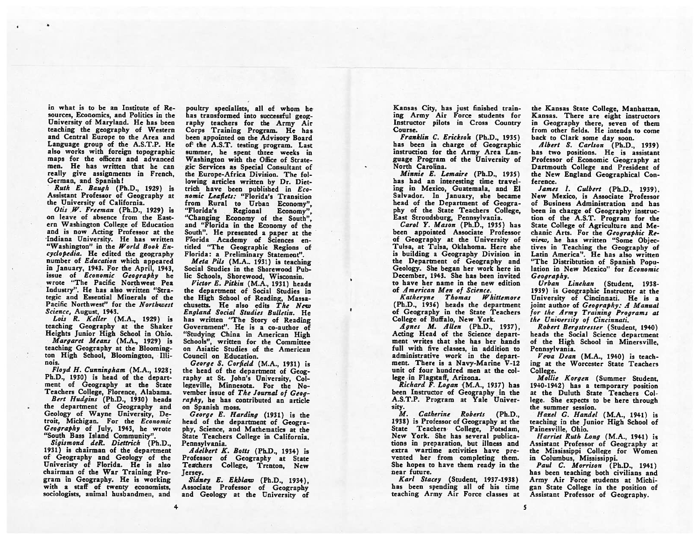in what is to be an Institute of Re sources, Economics, and Politics in the University of Maryland. He has been teaching the geography of Western and Central Europe to the Area and Language group of the A.S.T.P. He also works with foreign topographic maps for the officers and advanced men. He has written that he can really give assignments in French, German, and Spanish!

 Ruth E. Baugh (Ph.D., 1929) is Assistant Professor of Geography at the University of California.

Otis W. Freeman (Ph.D., 1929) is on leave of absence from the East ern Washington College of Education and is now Acting Professor at the Indiana University. He has written "Washington" in the World Book En cyclopedia. He edited the geography number of Education which appeared in January, 1943. For the April, 1943, issue of Economic Geography he wrote "The Pacific Northwest Pea Industry". He has also Written "Stra tegic and Essential Minerals of the Pacific Northwest" for the Northwest Science, August, 1943.

Lois R. Keller (M.A., 1929) is teaching Geography at the Shaker Heights Junior High School in Ohio.

Margaret Means (M.A., 1929) is teaching Geography at the Blooming ton High School, Bloomington, Illi nois.

Floyd H. Cunningham (M.A., 1928; Ph.D., 1930) is head of the depart ment of Geography at the State Teachers College, Florence, Alabama.

Bert Hudgins (Ph.D., 1930) heads the department of Geography and Geology of Wayne University, De troit, Michigan. For the Economic Geography of July, 1943, he wrote "South Bass Island Community".

Sigismond deR. Diettrich (Ph.D., 1931) is chairman of the department of Geography and Geology of the Univeristy of Florida. He is also chairman of the War Training Pro gram in Geography. He is working with a staff of twenty economists. sociologists, animal husbandmen, and

poultry specialists, all of whom he has transformed into successful geog raphy teachers for the Army Air Corps Training Program. He has been appointed on the Advisory Board of the A.S.T. testing program. Last summer, he spent three weeks in Washington with the Office of Strate<sup>g</sup>ic Services as Special Consultant of the Europe-Africa Division. The fol lowing articles written by Dr. Diet trich have been published in Eco nomic Leaflets: "Florida's Transition from Rural to Urban Economy", "Florida's Regional Economy", "Changing Economy of the South", and "Florida in the Economy of the South". He presented <sup>a</sup> paper at the Florida Academy of Sciences en titled "The Geographic Regions of Florida: <sup>a</sup> Preliminary Statement".

Meta Pils (M.A., 1931) is teaching Social Studies in the Shorewood Public Schools, Shorewood, Wisconsin.

Victor E. Pitkin (M.A., 1931) heads the department of Social Studies in the High School of Reading, Massa chusetts. He also edits The New England Social Studies Bulletin. He has written "The Story of Reading Government". He is <sup>a</sup> co-author of "Studying China in American High Schools", written for the Committee on Asiatic Studies of the American Council on Education.

٠

George S. Corfield (M.A., 1931) is the head of the department of Geog raphy at St. John's University, Col legeville, Minnesota. For the No vember issue of The Journal of Geography, he has contributed an article on Spanish moss.

George E. Harding (1931) is the head of the department of Geogra phy, Science, and Mathematics at the State Teachers College in California. Pennsylvania.

4delbert K. Botts (Ph.D., 1934) is Professor of Geography at State Teachers College, Trenton, New Jersey.

Sidney E. Ekblaw (Ph.D., 1934). Associate Professor of Geography and Geology at the University of Kansas City, has just finished train ing Army Air Force students for Instructor pilots in Cross Country Course.

Franklin C. Erickson (Ph.D., 1935) has been in charge of Geographic instruction for the Army Area Lan guage Program of the University of North Carolina.

Minnie E. Lemaire (Ph.D., 1935) has had an interesting time travel ing in Mexico, Guatemala. and El Salvador. In January, she became head of the Department of Geogra phy of the State Teachers College, East Stroudsburg, Pennsylvania.

Carol Y. Mason (Ph.D., 1935) has been appointed Associate Professor of Geography at the University of Tulsa, at Tulsa, Oklahoma. Here she is building <sup>a</sup> Geography Division in the Department of Geography and Geology. She began her work here in December, 1943. She has been invited to have her name in the new edition of American Men of Science.

Katheryne Thomas Whittemore (Ph.D., 1936) heads the department of Geography in the State Teachers College of Buffalo, New York.

Agnes M. Allen (Ph.D., 1937), Acting Head of the Science depart ment Writes that she has her hands full with five classes, in addition to administrative work in the depart ment. There is <sup>a</sup> Navy-Marine V-12 Unit of four hundred men at the col lege in Flagstaff, Arizona.

Richard F. Logan (M.A., 1937) has been Instructor of Geography in the A.S.T.P. Program at Yale Univer sity.

M. Catherine Roberts (Ph.D., 1938) is Professor of Geography at the State Teachers College, Potsdam, New York. She has several publica tions in preparation, but illness and extra wartime activities have pre vented her from completing them. She hopes to have them ready in the near future.

Karl Stacey (Student, 1937-1938) has been spending all of his time teaching Army Air Force classes at

the Kansas State College, Manhattan, Kansas. There are eight instructors in Geography there, seven of them from other fields. He intends to come back to Clark some day soon.

Albert S. Carison (Ph.D., 1939) has two positions. He is assistant Professor of Economic Geography at Dartmouth College and President of the New England Geographical Con ference.

James I. Culbert (Ph.D., 1939), New Mexico. is Associate Professor of Business Administration and has been in charge of Geography instruc tion of the A.S.T. Program for the State College of Agriculture and Me chanic Arts. For the Geographic Re view, he has written "Some Objectives in Teaching the Geography of Latin America". He has also written "The Distribtution of Spanish Popu lation in New Mexico" for Economic Geography.

Urban Linehan (Student, 1938- 1939) is Geographic Instructor at the University of Cincinnati. He is <sup>a</sup> joint author of  $Georabhv$ :  $A$  Manual for the Army Training Programs at the University of Cincinnati.

Robert Bergstresser (Student, 1940) heads the Social Science department of the High School in Minersville, Pennsylvania.

Veva Dean (M.A., 1940) is teach ing at the Worcester State Teachers College.

Mollie Korgen (Summer Student. 1940-1942) has <sup>a</sup> temporary position at the Duluth State Teachers Col lege. She expects to be here through the summer session.

Hazel G. Handel (M.A., 1941) is teaching in the Junior High School of Painesville, Ohio.

Harriet Ruth. Long (M.A., 1941) is Assistant Professor of Geography at the Mississippi College for Women in Columbus, Mississippi.

Paul C. Morrison (Ph.D., 1941) has been teaching both civilians and Army Air Force students at Michi gan State College in the position of Assistant Professor of Geography.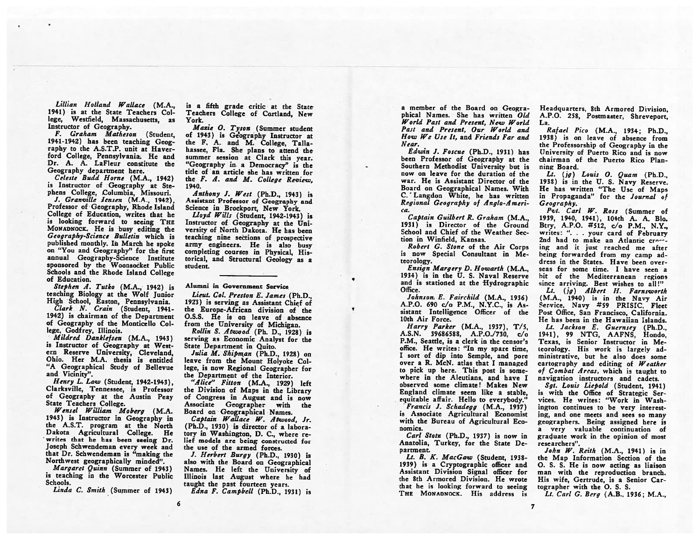Lillian Holland Wallace (M.A., 1941) is at the State Teachers Col lege, Westfield, Massachusetts, as Instructor of Geography.

F. Graham Matheson (Student, 1941-1942) has been teaching Geog raphy to the A.S.T.P. unit at Haverford College, Pennsylvania. He and Dr. A. A. LaFleur constitute the Geography department here.

Celeste Budd Home (M.A., 1942) is Instructor of Geography at Ste phens College, Columbia, Missouri.

I. Granville Jensen (M.A., 1942), Professor of Geography, Rhode Island College of Education, Writes that he is looking forward to seeing THE MONADNOCK. He is busy editing the Geography-Science Bulletin which is published monthly. In March he spoke on "You and Geography" for the first annual Geography-Science Institute sponsored by the Woonsocket Public Schools and the Rhode Island College of Education.

Stephen A. Tutko (M.A., 1942) is teaching Biology at the Wolf Junior High School, Easton, Pennsylvania.

Clark N. Crain (Student, 1941-1942) is chairman of the Department of Geography of the Monticello Col lege. Godfrey, Illinois.

Mildred Danklefsen (M.A., 1943) is Instructor of Geography at West ern Reserve University, Cleveland, Ohio. Her M.A. thesis is entitled "A Geographical Study of Bellevue and Vicinity".

Henry L. Law (Student, 1942-1943), Clarksville, Tennessee, is Professor of Geography at the Austin Peay State Teachers College.

Wensel William Moberg (M.A. 1943) is Instructor in Geography in the A.S.T. program at the North Dakota Agricultural College. He writes that he has been seeing Dr. Joseph Schwendeman every week and that Dr. Schwendeman is "making the Northwest geographically minded".

Margaret Quinn (Summer of 1943) is teaching in the Worcester Public Schools.

Linda C. Smith (Summer of 1943)

6

is a fifth grade critic at the State Teachers College of Cortland, New York.

Mazie O. Tyson (Summer student) of 1943) is Geography Instructor at the F, A. and M. College, Talla hassee, Fla. She <sup>p</sup>lans to attend the summer session at Clark this year. "Geography in <sup>a</sup> Democracy" is the title of an article she has written for the F. A. and M. College Regisear 1940.

Anthony J. West (Ph.D., 1943) is Assistant Professor of Geography and Science in Brockport, New York.

Lloyd Wills (Student, 1942-1943) is Instructor of Geography at the Uni versity of North Dakota. He has been teaching nine sections of prospective army engineers. He is also busy completing courses in Physical, His torical, and Structural Geology as <sup>a</sup> student.

Alumni in Government Service

Lieut. Col. Preston E. James (Ph.D., 1923) is serving as Assistant Chief of the Europe-African division of the O.S.S. He is on leave of absence from the University of Michigan.

Rollin S. Atwood (Ph. D., 1928) is serving as Economic Analyst for the State Department in Quito.

Julia M. Shitman (Ph.D., 1928) on leave from the Mount Holyoke Col lege, is now Regional Geographer for the Department of the Interior.

"Alice" Fitton (M.A., 1929) left the Division of Maps in the Library of Congress in August and is now Associate Geographer with the Board on Geographical Names.

Captain Wallace W. Atwood, Jr. (Ph.D., 1930) is director of <sup>a</sup> labora tory in Washington, D. C., where re lief models are being constructed for the use of the armed forces.

J. Herbert Burgy (Ph.D., 1930) is also with the Board on Geographical Names. He left the University of Illinois last August where he had taught the past fourteen years.

Edna F. Campbell (Ph.D., 1931) is

<sup>a</sup> member of the Board on Geogra phical Names. She has written Old World Past and Present, New World Past and Present. Our World and Flow We Use It, and Friends Far and Near.

Edwin J. Foscue (Ph.D., 1931) has been Professor of Geography at the Southern Methodist University but is now on leave for the duration of the war. He is Assistant Director of the Board on Geographical Names. With C. Langdon White, he has written Regional Geography of Anglo-A men ca.

Captain Guilbent R. Graham (M.A., 1931) is Director of the Ground School and Chief of the Weather Sec tion in Winfield, Kansas.

Robert G. Stone of the Air Corps is now Special Consultant in Me teorology.

Ensign Margery D. Howarth (M.A., 1934) is in the U. S. Naval Reserve and is stationed at the Hydrographic Office.

Johnson, E. Fairchild (M.A., 1936) A.P.O. 690 c/o P.M., N.Y.C., is Assistant Intelligence Officer of the 10th Air Force.

Harry Parker (M.A., 1937), T/5, A.S.N. 39686588. A.P.O./730, c/o P.M., Seattle, is <sup>a</sup> clerk in the censor's office. He writes: "In my spare time. <sup>I</sup> sort of dip into Semple, and pore over <sup>a</sup> R. McN. atlas that <sup>I</sup> managed to pick up here. This post is some where in the Aleutians, and have I observed some climate! Makes New England climate seem like <sup>a</sup> stable, equitable affair. Hello to everybody."

- Francis J. Schadegg (M.A.. 1937) is Associate Agricultural Economist with the Bureau of Agricultural Eco nomics.

Carl Stotz (Ph.D., 1937) is now in Anatolia, Turkey, for the State De partment.

Lt. B. K. MacGaw (Student, 1938-1939) is <sup>a</sup> Cryptographic officer and Assistant Division Signal officer for the 8th Armored Division. He wrote that he is looking forward to seeing THE MONADNOCK. His address is

Headquarters, 8th Armored Division, A.P.O. 258, Postmaster, Shreveport, La.

Rafael Pico (M.A., 1934; Ph.D., 1938) is on leave of absence from the Professorship of Geography in the University of Puerto Rico and is now chairman of the Puerto Rico Plan ning Board.

Li. (jg) Louis 0. Quam (Ph.D., 1935) is in the U. S. Navy Reserve. He has written "The Use of Maps in Propaganda" for the Journal of Geography.

Pvt. Carl W. Ross (Summer of 1939, 1940, 1941), 104th A. A. Blo. Btry, A.P.O. #512, c/o P.M., N.Y., writes: ". . . your card of February 2nd had to make an Atlantic crossing and it just reached me after being forwarded from my camp ad dress in the States. Have been over seas for some time. I have seen <sup>a</sup> hit of the Mediterranean regions since arriving. Best wishes to all!"

Li. (jg) Albert II. Farnsworth (M.A., 1940) is in the Navy Air Service, Navy #59 PRISIC. Fleet Post Office, San Francisco, California. He has been in the Hawaiian Islands. Lt. Jackson E. Guernsey (Ph.D., 1941), 99 NTG, AAFNS. Hondo, Texas, is Senior Instructor in Me teorology. His work is largely ad ministrative. but he also does some cartography and editing of Weather of Combat Areas, which is taught to navigation instructors and cadets.

Sgt. Louis Liepold (Student, 1941) is with the Office of Strategic Ser vices. He writes: "Work in Wash ington continues to be very interest ing, and one meets and sees so many geographers. Being assigned here is <sup>a</sup> very valuable continuation of graduate work in the opinion of most researchers".

John W. Reith  $(M.A., 1941)$  is in the Map Information Section of the 0. S. S. He is now acting as liaison man with the reproduction branch. His wife, Gertrude, is <sup>a</sup> Senior Car tographer with the 0. S. S.

Lt. Carl G. Berg (A.B., 1936; M.A.,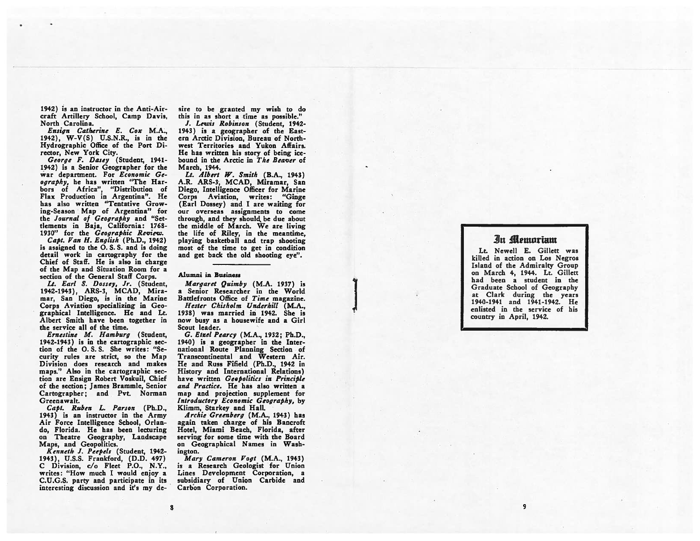1942) is an instructor in the Anti-Air craft Artillery School, Camp Davis, North Carolina.

Ensign Catherine E. Cox M.A., 1942), W-V(S) U.S.N.R., is in the Hydrographic Office of the Port Di rector, New York City.

George F. Dasey (Student, 1941- 1942) is <sup>a</sup> Senior Geographer for the war department. For Economic Ge ography, he has written "The Harbors of Africa", "Distribution of Flax Production in Argentina". He has also written "Tentative Grow ing-Season Map of Argentina" for the Journal of Geography and "Set tlements in Baja, California: 1768- 1930" for the Geographic Review.

Capt. Van H. English (Ph.D., 1942) is assigned to the 0. S. S. and is doing detail work in cartography for the Chief of Staff. He is also in charge of the Map and Situation Room for a section of the General Staff Corps.

Li. Earl S. Dossey, Jr. (Student, 1942-1943), ARS-3, MCAD, Mira mar, San Diego, is in the Marine Corps Aviation specializing in Geo graphical Intelligence. He and Lt. Albert Smith have been together in the service all of the time.

Ernestine M. Hamburg (Student, 1942-1943) is in the cartographic sec tion of the O.S.S. She writes: "Security rules are strict, so the Map Division does research and makes maps." Also in the cartographic sec tion are Ensign Robert Voskuil, Chief of the section; James Brammie, Senior Cartographer; and Pvt. Norman Greenawalt.

Capt. Ruben L. Parson (Ph.D., 1943) is an instructor in the Army Air Force Intelligence School, Orlan do, Florida. He has been lecturing on Theatre Geography, Landscape Maps, and Geopolitics.

Kenneth J. Peepels (Student, 1942- 1943), U.S.S. Frankford, (D.D. 497) C Division, c/o Fleet P.O., N.Y., writes: "How much I would enjoy a C.U.G.S. party and participate in its interesting discussion and it's my de sire to be granted my wish to do this in as short <sup>a</sup> time as possible."

I. Lewis Robinson (Student, 1942- 1943) is <sup>a</sup> geographer of the East ern Arctic Division, Bureau of North west Territories and Yukon Affairs. He has written his story of being ice bound in the Arctic in The Beaver of March, 1944.

Lt. Albert  $W$ . Smith (B.A., 1943) A.R. ARS-3, MCAD, Miramar, San Diego, Intelligence Officer for Marine Corps Aviation, writes: "Ginge (Earl Dossey) and I are waiting for our overseas assignments to come through, and they should, be due about the middle of March. We are living the life of Riley, in the meantime, playing basketball and trap shooting most of the time to ge<sup>t</sup> in condition and ge<sup>t</sup> back the old shooting eye".

#### Alumni in Business

Margaret Quimby (M.A. 1937) is <sup>a</sup> Senior Researcher in the World Battlefronts Office of Time magazine. Hester Chishoim Underhill (M.A., 1938) was married in 1942. She is now busy as <sup>a</sup> housewife and <sup>a</sup> Girl Scout leader.

I

C. Etzel Pearcy (M.A., 1932; Ph.D., 1940) is <sup>a</sup> geographer in the Inter national Route Planning Section of Transcontinental and Western Air. He and Russ Fifield (Ph.D., 1942 in History and International Relations) have written Geopolitics in Principle and Practice. He has also written a map and projection supplement for Introductory Econo mic Geography, by Klimm, Starkey and Hall.

Archie Greenberg (M.A., 1943) has again taken charge of his Bancroft Hotel, Miami Beach, Florida, after serving for some time with the Board on Geographical Names in Wash ington.

Mary Cameron Vogt (M.A., 1943) is <sup>a</sup> Research Geologist for Union Lines Development Corporation, a subsidiary of Union Carbide and Carbon Corporation.

### **J**n *<u>Memoriam</u>*

Lt. Newell E. Gillett was killed in action on Los Negros Island of the Admiralty Group on March 4, 1944. Lt. Gillett had been <sup>a</sup> student in the Graduate School of Geography at Clark during the years 1940-1941 and 1941-1942. He enlisted in the service of his country in April, 1942.

9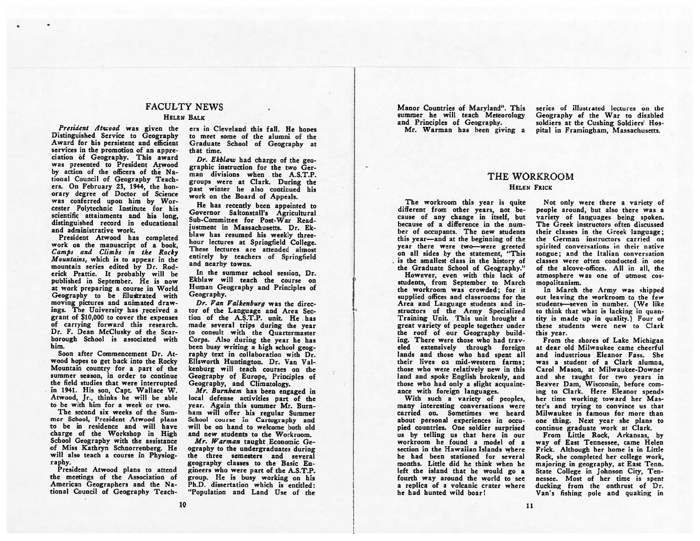### FACULTY NEWS

#### HELEN BALK

President Atwood was <sup>g</sup>iven the Distinguished Service to Geography Award for his persistent and efficient services in the promotion of an appreciation of Geography. This award was presented to President Atwood by action of the officers of the Na tional Council of Geography Teach ers. On February 23, 1944, the honorary degree of Doctor of Science was conferred upon him by Wor cester Polytechnic Institute for his scientific attainments and his long. distinguished record in educational and administrative work.

President Atwood has completed work on the manuscript of <sup>a</sup> book, Camps and Climbs in the Rocky Mountains, which is to appear in the mountain series edited by Dr. Rodcrick Peattie. ft probably will be published in September. He is now at work preparing <sup>a</sup> course in World Geography to be illustrated with moving pictures and animated draw ings. The University has received <sup>a</sup> gran<sup>t</sup> of \$10,000 to cover the expenses of carrying forward this research. Dr. F. Dean McClusky of the Scar borough School is associated with him.

Soon after Commencement Dr. At wood hopes to ge<sup>t</sup> back into the Rocky Mountain country for <sup>a</sup> par<sup>t</sup> of the summer season, in order to continue the field studies that were interrupted in 1941. His son, Capt. Wallace 'W. Atwood, Jr., thinks he will be able to be with him for <sup>a</sup> week or two.

The second six weeks of the Sum mer School, President Atwood plans to be in residence and will have charge of the Workshop in High School Geography with the assistance of Miss Kathryn Schnorrenberg. He will also teach a course in Physiography.

President Atwood plans to attend the meetings of the Association of American Geographers and the Na tional Council of Geography Teachers in Cleveland this fall. He hopes to meet some of the alumni of the Graduate School of Geography at that time.

Dr. Ekblaw had charge of the geo graphic instruction for the two Ger man divisions when the A.S.T.P. groups were at Clark. During the pas<sup>t</sup> winter he also continued his work on the Board of Appeals.

He has recently been appointed to Governor Saltonstall's Agricultural Sub-Committee for Post-War Read justment in Massachusetts. Dr. Ekblaw has resumed his weekly three-<br>hour lectures at Springfield College. These lectures are attended almost entirely by teachers of Springfield and nearby towns.

In the summer school session, Dr. Ekblaw will teach the course on Human Geography and Principles of Geography.

Dr.  $Van$  Valkenburg was the director of the Language and Area Sec tion of the A.S.T.P. unit. He has made several trips during the year to consult with the Quartermaster Corps. Also during the year he has been busy writing <sup>a</sup> high school geog raphy text in collaboration with Dr. Ellsworth Huntington. Dr. Van Val kenburg will teach courses on the Geography of Europe, Principles of Geography, and Climatology.

Mr. Burnham has been engaged in local defense activities par<sup>t</sup> of the year. Again this summer Mr. Burnham will offer his regular Summer School course in Cartography and will be on hand to welcome both old and new students to the Workroom.

Mr. Warman taught Economic Geography to the undergraduates during the three semesters and several geography classes to the Basic En gineers who were par<sup>t</sup> of the A.S.T.P. group. He is busy working on his Ph.D. dissertation which is entitled: "Population and Land Use of the Manor Countries of Maryland". This summer he will teach Meteorology and Principles of Geography.

Mr. Warman has been giving a

series of illustrated lectures on the Geography of the War to disabled soldiers at the Cushing Soldiers' Hos pital in Framingham, Massachusetts.

### THE WORKROOM HELEN FRICK

The workroom this year is quite different from other years, not because of any change in itself, but because of <sup>a</sup> difference in the num ber of occupants. The new students this year—and at the beginning of the year there were two—were greeted on all sides by the statement, "This is the smallest class in the history of the Graduate School of Geography."

However, even with this lack of students, from September to March the workroom was crowded; for it supplied offices and classrooms for the Area and Language students and in structors of the Army Specialized Training Unit. This unit brought <sup>a</sup> grea<sup>t</sup> variety of people together under the roof of our Geography build ing. There were those who had trav eled extensively through foreign lands and those who had spen<sup>t</sup> all their lives on mid-western farms; those who were relatively new in this land and spoke English brokenly, and those who had only <sup>a</sup> slight acquaint ance with foreign languages.

With such a variety of peoples. many interesting conversations were carried on. Sometimes we heard about personal experiences in occu pied countries. One soldier surprised us by telling us that here in our workroom he found <sup>a</sup> model of <sup>a</sup> section in the Hawaiian Islands where he had been stationed for several months. Little did he think when he left the island that he would go <sup>a</sup> fourth way around the world to see <sup>a</sup> replica of <sup>a</sup> volcanic crater where he had hunted wild boar!

Not only were there <sup>a</sup> variety of people around, but also there was <sup>a</sup> variety of languages being spoken. The Greek instructors often discussed their classes in the Greek language; the German instructors carried on spirited conversations in their native tongue; and the Italian conversation classes were often conducted in one of the alcove-offices. All in all, the atmosphere was one of utmost cos mopolitanism.

In March the Army was shipped out leaving the workroom to the few students—seven in number. (We like to think that wbat is lacking in quan tity is made up in quality.) Four of these students were new to Clark this year.

From the shores of Lake Michigan at dear old Milwaukee came cheerful and industrious Eleanor Fass. She was <sup>a</sup> student of <sup>a</sup> Clark alumna, Carol Mason, at Milwaukee-Downer and she taught for two years in Beaver Dam, Wisconsin, before com ing to Clark. Here Eleanor spends her time working toward her Mas ter's and trying to convince us that Milwaukee is famous for more than one thing. Next year she plans to continue graduate work at Clark.

From Little Rock, Arkansas, by way of East Tennessee, came Helen Frick. Although her home is in Little Rock, she completed her college work, majoring in geography, at East Tenn. State College in Johnson City, Ten nessee. Most of her time is spen<sup>t</sup> ducking from the onthrust of Dr. Van's fishing pole and quaking in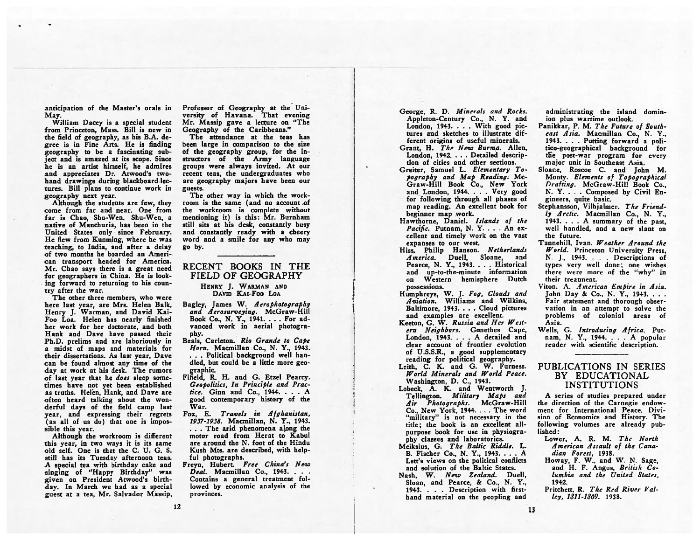anticipation of the Master's orals in May.

William Dacey is <sup>a</sup> special student from Princeton, Mass. Bill is new in the field of geography, as his B.A. de gree is in Fine Arts. He is finding geography to be <sup>a</sup> fascinating sub ject and is amazed at its scope. Since he is an artist himself, he admires and appreciates Dr. Atwood's twohand drawings during blackboard lec tures. Bill plans to Continue work in geography next year.

Although the students are few, they come from far and near. One from far is Chao, Shu-Wen. Shu-Wen, <sup>a</sup> native of Manchuria, has been in the United States only since February. He flew from Kunming, where he was teaching, to India, and after <sup>a</sup> delay of two months he boarded an Ameri can transport headed for America. Mr. Chao says there is <sup>a</sup> grea<sup>t</sup> need for geographers in China. He is look ing forward to returning to his coun try after the war.

The other three members, who were here last year, are Mrs. Helen Balk, Henry J. Warman, and David Kai-Foo Loa. Helen has nearly finished her work for her doctorate, and both Hank and Dave have passed their Ph.D. prelims and are laboriously in <sup>a</sup> midst of maps and materials for their dissertations. As last year, Dave can be found almost any time of the day at work at his desk. The rumors of last year that he does sleep some times have not ye<sup>t</sup> been established as truths. Helen, Hank, and Dave are often heard talking about the won derful days of the field camp last year, and expressing their regrets (as all of us do) that one is impos sible this year.

Although the workroom is different this year, in two ways it is its same old self. One is that the C. U. G. S. still has its Tuesday afternoon teas. A special tea with birthday cake and singing of "Happy Birthday" was given on President Atwood's birth day. In March we had as <sup>a</sup> special gues<sup>t</sup> at <sup>a</sup> tea, Mr. Salvador Massip, Professor of Geography at the Uni versity of Havana. That evening Mr. Massip gave <sup>a</sup> lecture on "The Geography of the Caribbeans."

The attendance at the teas has been large in comparison to the size of the geography group, for the in structors of the Army language groups were always invited. At our recent teas, the undergraduates who are geography majors have been our guests.

The other way in which the work room is the same (and no account of the workroom is complete without mentioning it) is this: Mr. Burnham still sits at his desk, constantly busy and constantly ready with <sup>a</sup> cheery word and <sup>a</sup> smile for any who may go by.

### RECENT BOOKS IN THE FIELD OF GEOGRAPHY

#### HENRY J. WARMAN AND DAvID KAI-Foo L0A

Bagley, James W. Aerophotography and Aerosurveying. McGraw-Hill Book Co., N. Y., 1941. . . . For ad vanced work in aerial photogra phy.

Beals, Carleton. Rio Grande to Cape Horn. Macmillan Co., N. Y., 1943. ... Political background well handled, but could be <sup>a</sup> little more geo graphic.

Fifield, R. H. and G. Etzel Pearcy. Geopolitics, In Principle and Prac tice. Ginn and Co., 1944. . . . A good contemporary history of the War.

Fox, E. Travels in Afghanistan, 1937-1938. Macmillan, N. Y., 1943. ... The arid phenomena along the motor road from Herat to Kabul are around the N. foot of the Hindu Kush Mts. are described, with helpful photographs.

Freyn. Hubert. Free China's New Deal. Macmillan Co., 1943. . . . Contains <sup>a</sup> general treatment fol lowed by economic analysis of the provinces.

George, R. D. Minerals and Rocks. Appleton-Century Co., N. Y. and London, 1943. . . . With good pictures and sketches to illustrate dif ferent origins of useful minerals. Grant, H. The New Burma. Allen, London, 1942. . . . Detailed description of cities and other sections,

- Greiter, Samuel L. Elementary To pography and Map Reading. Mc-Graw-Hill Book Co., New York and London, 1944. . . . Very good for following through all phases of map reading. An excellent book for beginner map work.
- Hawthorne, Daniel. Islands of the Pacific. Putnam, N. Y. . . . An excellent and timely work on the vast expanses to our west.
- Hiss. Philip Hanson. Netherlands America. Duell, Sloane, and Pearce, N. Y., 1943. . . . Historical and up-to-the-minute information on Western hemisphere Dutch possessions.

Humphreys, W. J. Fog, Clouds and Aviation. Williams and Wilkins, Baltimore, 1943. . . . Cloud pictures and examples are excellent.

- Keeton, G. W. Russia and Her West ern Neighbors. Gonethes Cape, London, 1943. . . . A detailed and clear account of frontier evolution of U.S.S.R., <sup>a</sup> good supplementary reading for political geography.
- Leith, C. K. and G. W. Furness. World Minerals and World Peace. Washington, D. C., 1943.
- Lobeck, A. K. and Wentworth J. Tellington. Military Maps and Air Photographs. McGraw-Hill Co., New York, 1944. . . . The word "military" is not necessary in the title; the book is an excellent allpurpose book for use in physiogra phy classes and laboratories.

Meiksius, G. The Baltic Riddle. L. B. Fischer Co., N. Y., 1943. . . . A Lett's views on the political conflicts and solution of the Baltic States.

Nash, W. New Zealand. Duell, Sloan, and Pearce, & Co., N. Y., 1943. . . . Description with first hand material on the peopling and administrating the island dominion plus wartime outlook.

- Panikkar, P. M. The Future of South east Asia. Macmillan Co., N. V.. 1943. . . . Putting forward <sup>a</sup> poli tico-geographical background for the post-war program for every major unit in Southeast Asia.
- Sloane, Roscoe C. and John M. Monty. Elements of Topographical Drafting. McGraw-Hill Book Co., N. Y. ... Composed by Civil Engineers, quite basic.
- Stephansson, Vilhialmer. The Friendly Arctic. Macmillan Co., N. Y., 1943. . . . A summary of the past, well handled, and <sup>a</sup> new slant on the future.
- Tannehill, Ivan. Weather Around the World. Princeton University Press. N. J., 1943. . . Descriptions of types very veli done; one wishes there were more of the "why" in their treatment.
- Viton. A. American Empire in Asia. John Day & Co., N. Y., 1943. . . . Fair statement and thorough obser vation in an attempt to solve the problems of colonial areas of Asia.
- Wells, G. Introducing Africa. Put nam, N. Y., 1944. . . . A popular reader with scientific description.

### PUBLICATIONS IN SERIES BY EDUCATIONAL INSTITUTIONS

A series of studies prepared under the direction of the Carnegie endow ment for International Peace, Divi sion of Economics and History. The following volumes are already pub lished:

- Lower, A. R. M. The North American Assault of the Cana dian Forest, 1938.
- Howay, F. W., and W. N. Sage, and H. F. Angus, British Co lumbia and the United States, 1942.

Pritchett, R. The Red River Valley, 1811-1869. 1938.